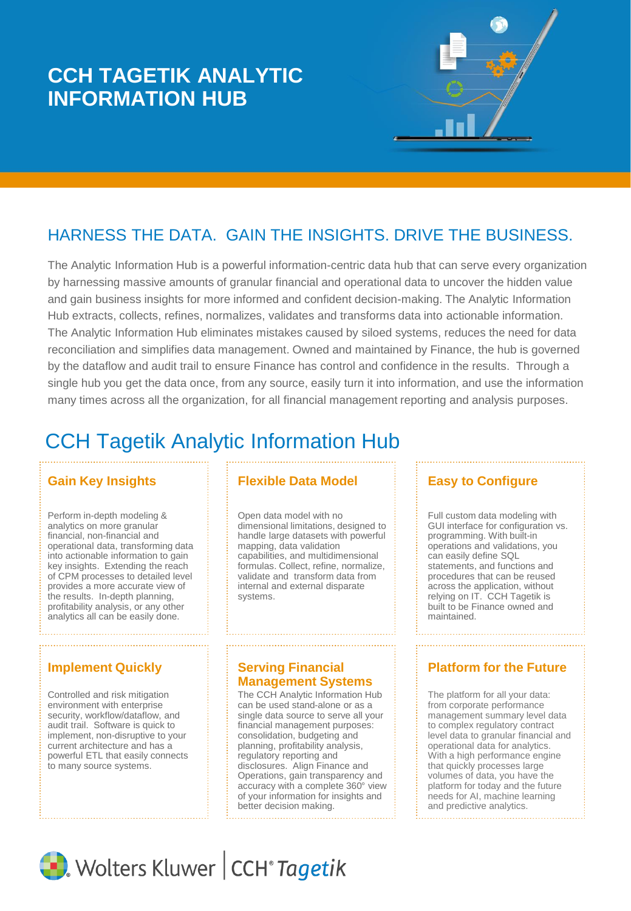# **CCH TAGETIK ANALYTIC INFORMATION HUB**

# HARNESS THE DATA. GAIN THE INSIGHTS. DRIVE THE BUSINESS.

The Analytic Information Hub is a powerful information-centric data hub that can serve every organization by harnessing massive amounts of granular financial and operational data to uncover the hidden value and gain business insights for more informed and confident decision-making. The Analytic Information Hub extracts, collects, refines, normalizes, validates and transforms data into actionable information. The Analytic Information Hub eliminates mistakes caused by siloed systems, reduces the need for data reconciliation and simplifies data management. Owned and maintained by Finance, the hub is governed by the dataflow and audit trail to ensure Finance has control and confidence in the results. Through a single hub you get the data once, from any source, easily turn it into information, and use the information many times across all the organization, for all financial management reporting and analysis purposes.

# CCH Tagetik Analytic Information Hub

Perform in-depth modeling & analytics on more granular financial, non-financial and operational data, transforming data into actionable information to gain key insights. Extending the reach of CPM processes to detailed level provides a more accurate view of the results. In-depth planning, profitability analysis, or any other analytics all can be easily done.

Controlled and risk mitigation environment with enterprise security, workflow/dataflow, and audit trail. Software is quick to implement, non-disruptive to your current architecture and has a powerful ETL that easily connects to many source systems.

### **Gain Key Insights Flexible Data Model**

Open data model with no dimensional limitations, designed to handle large datasets with powerful mapping, data validation capabilities, and multidimensional formulas. Collect, refine, normalize, validate and transform data from internal and external disparate systems.

### **Serving Financial Management Systems**

The CCH Analytic Information Hub can be used stand-alone or as a single data source to serve all your financial management purposes: consolidation, budgeting and planning, profitability analysis, regulatory reporting and disclosures. Align Finance and Operations, gain transparency and accuracy with a complete 360° view of your information for insights and better decision making.

## **Easy to Configure**

Full custom data modeling with GUI interface for configuration vs. programming. With built-in operations and validations, you can easily define SQL statements, and functions and procedures that can be reused across the application, without relying on IT. CCH Tagetik is built to be Finance owned and maintained.

## **Implement Quickly <b>Platform Filter Platform for the Future Platform for the Future**

The platform for all your data: from corporate performance management summary level data to complex regulatory contract level data to granular financial and operational data for analytics. With a high performance engine that quickly processes large volumes of data, you have the platform for today and the future needs for AI, machine learning and predictive analytics.